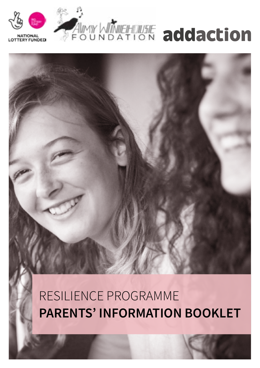# RESILIENCE PROGRAMME **PARENTS' INFORMATION BOOKLET**





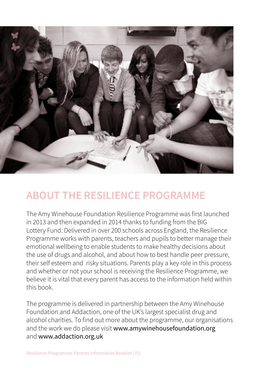

### **ABOUT THE RESILIENCE PROGRAMME**

The Amy Winehouse Foundation Resilience Programme was first launched in 2013 and then expanded in 2014 thanks to funding from the BIG Lottery Fund. Delivered in over 200 schools across England, the Resilience Programme works with parents, teachers and pupils to better manage their emotional wellbeing to enable students to make healthy decisions about the use of drugs and alcohol, and about how to best handle peer pressure, their self esteem and risky situations. Parents play a key role in this process and whether or not your school is receiving the Resilience Programme, we believe it is vital that every parent has access to the information held within this book.

The programme is delivered in partnership between the Amy Winehouse Foundation and Addaction, one of the UK's largest specialist drug and alcohol charities. To find out more about the programme, our organisations and the work we do please visit www.amywinehousefoundation.org and www.addaction.org.uk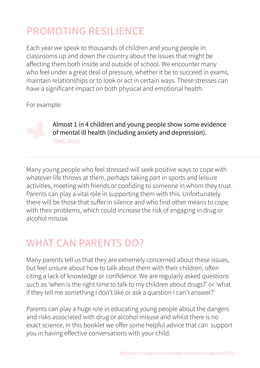# **PROMOTING RESILIENCE**

Each year we speak to thousands of children and young people in classrooms up and down the country about the issues that might be affecting them both inside and outside of school. We encounter many who feel under a great deal of pressure, whether it be to succeed in exams, maintain relationships or to look or act in certain ways. These stresses can have a significant impact on both physical and emotional health.

For example:



Almost 1 in 4 children and young people show some evidence of mental ill health (including anxiety and depression). (ONS, 2016)

Many young people who feel stressed will seek positive ways to cope with whatever life throws at them, perhaps taking part in sports and leisure activities, meeting with friends or confiding to someone in whom they trust. Parents can play a vital role in supporting them with this. Unfortunately there will be those that suffer in silence and who find other means to cope with their problems, which could increase the risk of engaging in drug or alcohol misuse.

### **WHAT CAN PARENTS DO?**

Many parents tell us that they are extremely concerned about these issues, but feel unsure about how to talk about them with their children, often citing a lack of knowledge or confidence. We are regularly asked questions such as 'when is the right time to talk to my children about drugs?' or 'what if they tell me something I don't like or ask a question I can't answer?'

Parents can play a huge role in educating young people about the dangers and risks associated with drug or alcohol misuse and whilst there is no exact science, in this booklet we offer some helpful advice that can support you in having effective conversations with your child.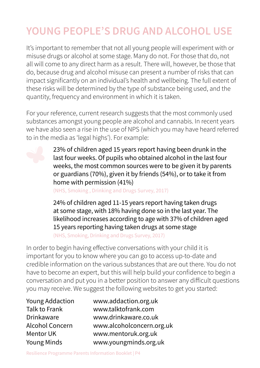# **YOUNG PEOPLE'S DRUG AND ALCOHOL USE**

It's important to remember that not all young people will experiment with or misuse drugs or alcohol at some stage. Many do not. For those that do, not all will come to any direct harm as a result. There will, however, be those that do, because drug and alcohol misuse can present a number of risks that can impact significantly on an individual's health and wellbeing. The full extent of these risks will be determined by the type of substance being used, and the quantity, frequency and environment in which it is taken.

For your reference, current research suggests that the most commonly used substances amongst young people are alcohol and cannabis. In recent years we have also seen a rise in the use of NPS (which you may have heard referred to in the media as 'legal highs'). For example:

> 23% of children aged 15 years report having been drunk in the last four weeks. Of pupils who obtained alcohol in the last four weeks, the most common sources were to be given it by parents or guardians (70%), given it by friends (54%), or to take it from home with permission (41%)

(NHS, Smoking , Drinking and Drugs Survey, 2017)

24% of children aged 11-15 years report having taken drugs at some stage, with 18% having done so in the last year. The likelihood increases according to age with 37% of children aged 15 years reporting having taken drugs at some stage

(NHS, Smoking, Drinking and Drugs Survey, 2017)

In order to begin having effective conversations with your child it is important for you to know where you can go to access up-to-date and credible information on the various substances that are out there. You do not have to become an expert, but this will help build your confidence to begin a conversation and put you in a better position to answer any difficult questions you may receive. We suggest the following websites to get you started:

Young Addaction www.addaction.org.uk Talk to Frank www.talktofrank.com Drinkaware www.drinkaware.co.uk Alcohol Concern www.alcoholconcern.org.uk Mentor UK www.mentoruk.org.uk Young Minds www.youngminds.org.uk

Resilience Programme Parents Information Booklet | P4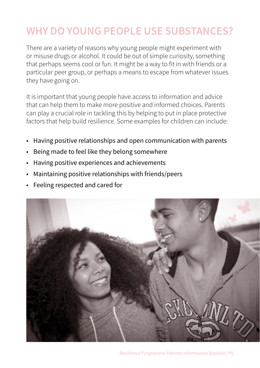### **WHY DO YOUNG PEOPLE USE SUBSTANCES?**

There are a variety of reasons why young people might experiment with or misuse drugs or alcohol. It could be out of simple curiosity, something that perhaps seems cool or fun. It might be a way to fit in with friends or a particular peer group, or perhaps a means to escape from whatever issues they have going on.

It is important that young people have access to information and advice that can help them to make more positive and informed choices. Parents can play a crucial role in tackling this by helping to put in place protective factors that help build resilience. Some examples for children can include:

- Having positive relationships and open communication with parents
- Being made to feel like they belong somewhere
- Having positive experiences and achievements
- Maintaining positive relationships with friends/peers
- Feeling respected and cared for

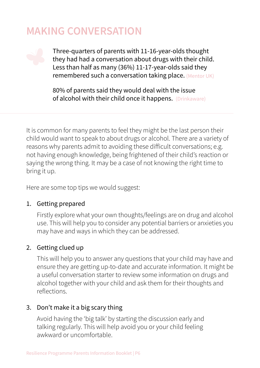### **MAKING CONVERSATION**

Three-quarters of parents with 11-16-year-olds thought they had had a conversation about drugs with their child. Less than half as many (36%) 11-17-year-olds said they remembered such a conversation taking place. (Mentor UK)

80% of parents said they would deal with the issue of alcohol with their child once it happens. (Drinkaware)

It is common for many parents to feel they might be the last person their child would want to speak to about drugs or alcohol. There are a variety of reasons why parents admit to avoiding these difficult conversations; e.g. not having enough knowledge, being frightened of their child's reaction or saying the wrong thing. It may be a case of not knowing the right time to bring it up.

Here are some top tips we would suggest:

#### 1. Getting prepared

Firstly explore what your own thoughts/feelings are on drug and alcohol use. This will help you to consider any potential barriers or anxieties you may have and ways in which they can be addressed.

#### 2. Getting clued up

This will help you to answer any questions that your child may have and ensure they are getting up-to-date and accurate information. It might be a useful conversation starter to review some information on drugs and alcohol together with your child and ask them for their thoughts and reflections.

#### 3. Don't make it a big scary thing

Avoid having the 'big talk' by starting the discussion early and talking regularly. This will help avoid you or your child feeling awkward or uncomfortable.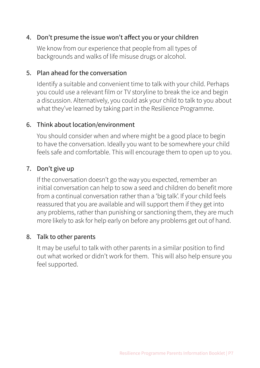#### 4. Don't presume the issue won't affect you or your children

We know from our experience that people from all types of backgrounds and walks of life misuse drugs or alcohol.

#### 5. Plan ahead for the conversation

Identify a suitable and convenient time to talk with your child. Perhaps you could use a relevant film or TV storyline to break the ice and begin a discussion. Alternatively, you could ask your child to talk to you about what they've learned by taking part in the Resilience Programme.

#### 6. Think about location/environment

You should consider when and where might be a good place to begin to have the conversation. Ideally you want to be somewhere your child feels safe and comfortable. This will encourage them to open up to you.

#### 7. Don't give up

If the conversation doesn't go the way you expected, remember an initial conversation can help to sow a seed and children do benefit more from a continual conversation rather than a 'big talk'. If your child feels reassured that you are available and will support them if they get into any problems, rather than punishing or sanctioning them, they are much more likely to ask for help early on before any problems get out of hand.

#### 8. Talk to other parents

It may be useful to talk with other parents in a similar position to find out what worked or didn't work for them. This will also help ensure you feel supported.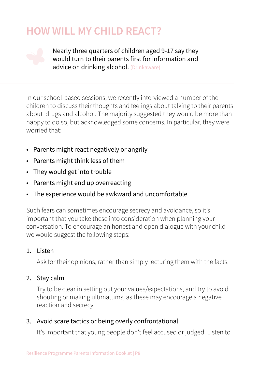### **HOW WILL MY CHILD REACT?**



Nearly three quarters of children aged 9-17 say they would turn to their parents first for information and advice on drinking alcohol. (Drinkaware)

In our school-based sessions, we recently interviewed a number of the children to discuss their thoughts and feelings about talking to their parents about drugs and alcohol. The majority suggested they would be more than happy to do so, but acknowledged some concerns. In particular, they were worried that:

- Parents might react negatively or angrily
- Parents might think less of them
- They would get into trouble
- Parents might end up overreacting
- The experience would be awkward and uncomfortable

Such fears can sometimes encourage secrecy and avoidance, so it's important that you take these into consideration when planning your conversation. To encourage an honest and open dialogue with your child we would suggest the following steps:

#### 1. Listen

Ask for their opinions, rather than simply lecturing them with the facts.

#### 2. Stay calm

Try to be clear in setting out your values/expectations, and try to avoid shouting or making ultimatums, as these may encourage a negative reaction and secrecy.

#### 3. Avoid scare tactics or being overly confrontational

It's important that young people don't feel accused or judged. Listen to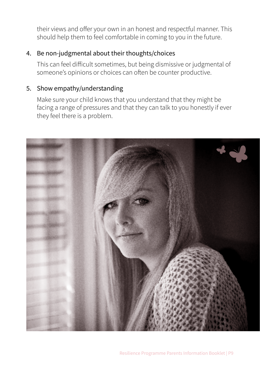their views and offer your own in an honest and respectful manner. This should help them to feel comfortable in coming to you in the future.

#### 4. Be non-judgmental about their thoughts/choices

This can feel difficult sometimes, but being dismissive or judgmental of someone's opinions or choices can often be counter productive.

#### 5. Show empathy/understanding

Make sure your child knows that you understand that they might be facing a range of pressures and that they can talk to you honestly if ever they feel there is a problem.

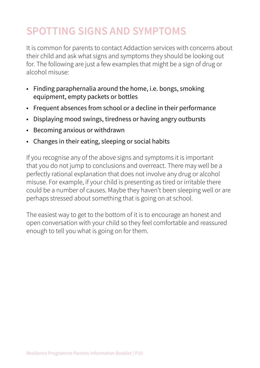# **SPOTTING SIGNS AND SYMPTOMS**

It is common for parents to contact Addaction services with concerns about their child and ask what signs and symptoms they should be looking out for. The following are just a few examples that might be a sign of drug or alcohol misuse:

- Finding paraphernalia around the home, i.e. bongs, smoking equipment, empty packets or bottles
- Frequent absences from school or a decline in their performance
- Displaying mood swings, tiredness or having angry outbursts
- Becoming anxious or withdrawn
- Changes in their eating, sleeping or social habits

If you recognise any of the above signs and symptoms it is important that you do not jump to conclusions and overreact. There may well be a perfectly rational explanation that does not involve any drug or alcohol misuse. For example, if your child is presenting as tired or irritable there could be a number of causes. Maybe they haven't been sleeping well or are perhaps stressed about something that is going on at school.

The easiest way to get to the bottom of it is to encourage an honest and open conversation with your child so they feel comfortable and reassured enough to tell you what is going on for them.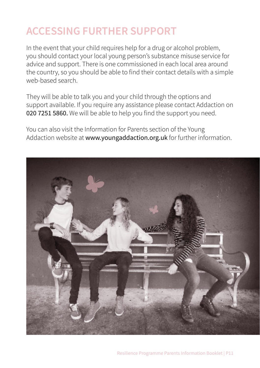# **ACCESSING FURTHER SUPPORT**

In the event that your child requires help for a drug or alcohol problem, you should contact your local young person's substance misuse service for advice and support. There is one commissioned in each local area around the country, so you should be able to find their contact details with a simple web-based search.

They will be able to talk you and your child through the options and support available. If you require any assistance please contact Addaction on 020 7251 5860. We will be able to help you find the support you need.

You can also visit the Information for Parents section of the Young Addaction website at www.youngaddaction.org.uk for further information.